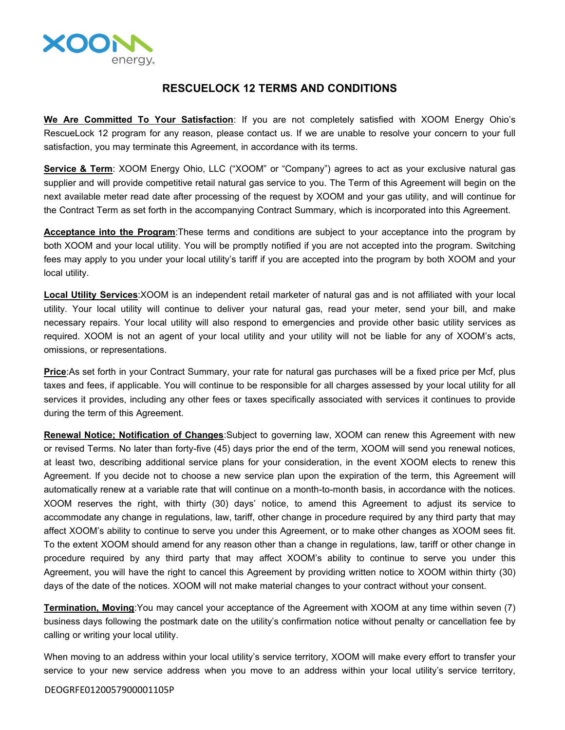

## **RESCUELOCK 12 TERMS AND CONDITIONS**

**We Are Committed To Your Satisfaction**: If you are not completely satisfied with XOOM Energy Ohio's RescueLock 12 program for any reason, please contact us. If we are unable to resolve your concern to your full satisfaction, you may terminate this Agreement, in accordance with its terms.

**Service & Term**: XOOM Energy Ohio, LLC ("XOOM" or "Company") agrees to act as your exclusive natural gas supplier and will provide competitive retail natural gas service to you. The Term of this Agreement will begin on the next available meter read date after processing of the request by XOOM and your gas utility, and will continue for the Contract Term as set forth in the accompanying Contract Summary, which is incorporated into this Agreement.

**Acceptance into the Program**:These terms and conditions are subject to your acceptance into the program by both XOOM and your local utility. You will be promptly notified if you are not accepted into the program. Switching fees may apply to you under your local utility's tariff if you are accepted into the program by both XOOM and your local utility.

**Local Utility Services**:XOOM is an independent retail marketer of natural gas and is not affiliated with your local utility. Your local utility will continue to deliver your natural gas, read your meter, send your bill, and make necessary repairs. Your local utility will also respond to emergencies and provide other basic utility services as required. XOOM is not an agent of your local utility and your utility will not be liable for any of XOOM's acts, omissions, or representations.

**Price**:As set forth in your Contract Summary, your rate for natural gas purchases will be a fixed price per Mcf, plus taxes and fees, if applicable. You will continue to be responsible for all charges assessed by your local utility for all services it provides, including any other fees or taxes specifically associated with services it continues to provide during the term of this Agreement.

**Renewal Notice; Notification of Changes**:Subject to governing law, XOOM can renew this Agreement with new or revised Terms. No later than forty-five (45) days prior the end of the term, XOOM will send you renewal notices, at least two, describing additional service plans for your consideration, in the event XOOM elects to renew this Agreement. If you decide not to choose a new service plan upon the expiration of the term, this Agreement will automatically renew at a variable rate that will continue on a month-to-month basis, in accordance with the notices. XOOM reserves the right, with thirty (30) days' notice, to amend this Agreement to adjust its service to accommodate any change in regulations, law, tariff, other change in procedure required by any third party that may affect XOOM's ability to continue to serve you under this Agreement, or to make other changes as XOOM sees fit. To the extent XOOM should amend for any reason other than a change in regulations, law, tariff or other change in procedure required by any third party that may affect XOOM's ability to continue to serve you under this Agreement, you will have the right to cancel this Agreement by providing written notice to XOOM within thirty (30) days of the date of the notices. XOOM will not make material changes to your contract without your consent.

**Termination, Moving**:You may cancel your acceptance of the Agreement with XOOM at any time within seven (7) business days following the postmark date on the utility's confirmation notice without penalty or cancellation fee by calling or writing your local utility.

When moving to an address within your local utility's service territory, XOOM will make every effort to transfer your service to your new service address when you move to an address within your local utility's service territory,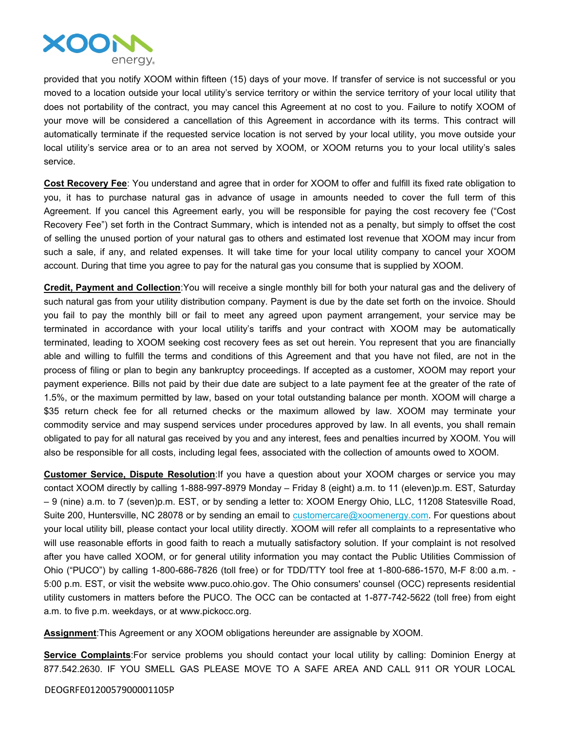

provided that you notify XOOM within fifteen (15) days of your move. If transfer of service is not successful or you moved to a location outside your local utility's service territory or within the service territory of your local utility that does not portability of the contract, you may cancel this Agreement at no cost to you. Failure to notify XOOM of your move will be considered a cancellation of this Agreement in accordance with its terms. This contract will automatically terminate if the requested service location is not served by your local utility, you move outside your local utility's service area or to an area not served by XOOM, or XOOM returns you to your local utility's sales service.

**Cost Recovery Fee**: You understand and agree that in order for XOOM to offer and fulfill its fixed rate obligation to you, it has to purchase natural gas in advance of usage in amounts needed to cover the full term of this Agreement. If you cancel this Agreement early, you will be responsible for paying the cost recovery fee ("Cost Recovery Fee") set forth in the Contract Summary, which is intended not as a penalty, but simply to offset the cost of selling the unused portion of your natural gas to others and estimated lost revenue that XOOM may incur from such a sale, if any, and related expenses. It will take time for your local utility company to cancel your XOOM account. During that time you agree to pay for the natural gas you consume that is supplied by XOOM.

**Credit, Payment and Collection**:You will receive a single monthly bill for both your natural gas and the delivery of such natural gas from your utility distribution company. Payment is due by the date set forth on the invoice. Should you fail to pay the monthly bill or fail to meet any agreed upon payment arrangement, your service may be terminated in accordance with your local utility's tariffs and your contract with XOOM may be automatically terminated, leading to XOOM seeking cost recovery fees as set out herein. You represent that you are financially able and willing to fulfill the terms and conditions of this Agreement and that you have not filed, are not in the process of filing or plan to begin any bankruptcy proceedings. If accepted as a customer, XOOM may report your payment experience. Bills not paid by their due date are subject to a late payment fee at the greater of the rate of 1.5%, or the maximum permitted by law, based on your total outstanding balance per month. XOOM will charge a \$35 return check fee for all returned checks or the maximum allowed by law. XOOM may terminate your commodity service and may suspend services under procedures approved by law. In all events, you shall remain obligated to pay for all natural gas received by you and any interest, fees and penalties incurred by XOOM. You will also be responsible for all costs, including legal fees, associated with the collection of amounts owed to XOOM.

**Customer Service, Dispute Resolution**:If you have a question about your XOOM charges or service you may contact XOOM directly by calling 1-888-997-8979 Monday – Friday 8 (eight) a.m. to 11 (eleven)p.m. EST, Saturday – 9 (nine) a.m. to 7 (seven)p.m. EST, or by sending a letter to: XOOM Energy Ohio, LLC, 11208 Statesville Road, Suite 200, Huntersville, NC 28078 or by sending an email to [customercare@xoomenergy.com](mailto:customercare@xoomenergy.com). For questions about your local utility bill, please contact your local utility directly. XOOM will refer all complaints to a representative who will use reasonable efforts in good faith to reach a mutually satisfactory solution. If your complaint is not resolved after you have called XOOM, or for general utility information you may contact the Public Utilities Commission of Ohio ("PUCO") by calling 1-800-686-7826 (toll free) or for TDD/TTY tool free at 1-800-686-1570, M-F 8:00 a.m. - 5:00 p.m. EST, or visit the website www.puco.ohio.gov. The Ohio consumers' counsel (OCC) represents residential utility customers in matters before the PUCO. The OCC can be contacted at 1-877-742-5622 (toll free) from eight a.m. to five p.m. weekdays, or at www.pickocc.org.

**Assignment**:This Agreement or any XOOM obligations hereunder are assignable by XOOM.

**Service Complaints**:For service problems you should contact your local utility by calling: Dominion Energy at 877.542.2630. IF YOU SMELL GAS PLEASE MOVE TO A SAFE AREA AND CALL 911 OR YOUR LOCAL

DEOGRFE0120057900001105P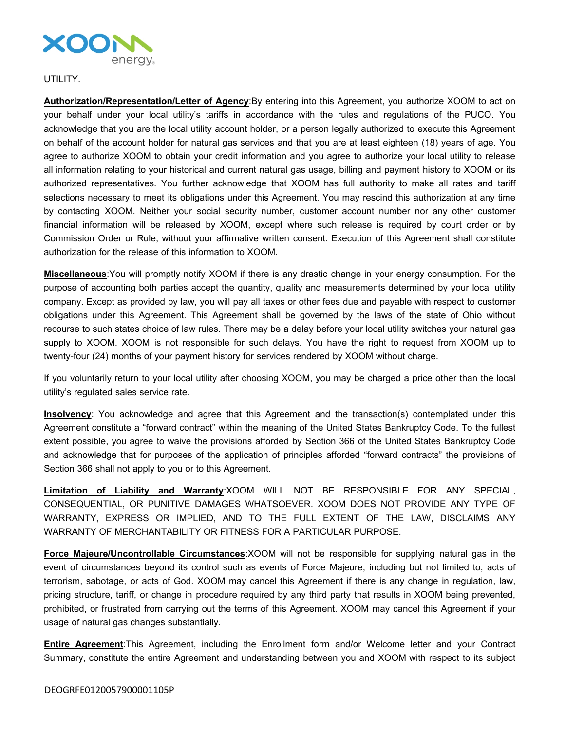

## UTILITY.

**Authorization/Representation/Letter of Agency**:By entering into this Agreement, you authorize XOOM to act on your behalf under your local utility's tariffs in accordance with the rules and regulations of the PUCO. You acknowledge that you are the local utility account holder, or a person legally authorized to execute this Agreement on behalf of the account holder for natural gas services and that you are at least eighteen (18) years of age. You agree to authorize XOOM to obtain your credit information and you agree to authorize your local utility to release all information relating to your historical and current natural gas usage, billing and payment history to XOOM or its authorized representatives. You further acknowledge that XOOM has full authority to make all rates and tariff selections necessary to meet its obligations under this Agreement. You may rescind this authorization at any time by contacting XOOM. Neither your social security number, customer account number nor any other customer financial information will be released by XOOM, except where such release is required by court order or by Commission Order or Rule, without your affirmative written consent. Execution of this Agreement shall constitute authorization for the release of this information to XOOM.

**Miscellaneous**:You will promptly notify XOOM if there is any drastic change in your energy consumption. For the purpose of accounting both parties accept the quantity, quality and measurements determined by your local utility company. Except as provided by law, you will pay all taxes or other fees due and payable with respect to customer obligations under this Agreement. This Agreement shall be governed by the laws of the state of Ohio without recourse to such states choice of law rules. There may be a delay before your local utility switches your natural gas supply to XOOM. XOOM is not responsible for such delays. You have the right to request from XOOM up to twenty-four (24) months of your payment history for services rendered by XOOM without charge.

If you voluntarily return to your local utility after choosing XOOM, you may be charged a price other than the local utility's regulated sales service rate.

**Insolvency**: You acknowledge and agree that this Agreement and the transaction(s) contemplated under this Agreement constitute a "forward contract" within the meaning of the United States Bankruptcy Code. To the fullest extent possible, you agree to waive the provisions afforded by Section 366 of the United States Bankruptcy Code and acknowledge that for purposes of the application of principles afforded "forward contracts" the provisions of Section 366 shall not apply to you or to this Agreement.

**Limitation of Liability and Warranty**:XOOM WILL NOT BE RESPONSIBLE FOR ANY SPECIAL, CONSEQUENTIAL, OR PUNITIVE DAMAGES WHATSOEVER. XOOM DOES NOT PROVIDE ANY TYPE OF WARRANTY, EXPRESS OR IMPLIED, AND TO THE FULL EXTENT OF THE LAW, DISCLAIMS ANY WARRANTY OF MERCHANTABILITY OR FITNESS FOR A PARTICULAR PURPOSE.

**Force Majeure/Uncontrollable Circumstances**:XOOM will not be responsible for supplying natural gas in the event of circumstances beyond its control such as events of Force Majeure, including but not limited to, acts of terrorism, sabotage, or acts of God. XOOM may cancel this Agreement if there is any change in regulation, law, pricing structure, tariff, or change in procedure required by any third party that results in XOOM being prevented, prohibited, or frustrated from carrying out the terms of this Agreement. XOOM may cancel this Agreement if your usage of natural gas changes substantially.

**Entire Agreement**:This Agreement, including the Enrollment form and/or Welcome letter and your Contract Summary, constitute the entire Agreement and understanding between you and XOOM with respect to its subject